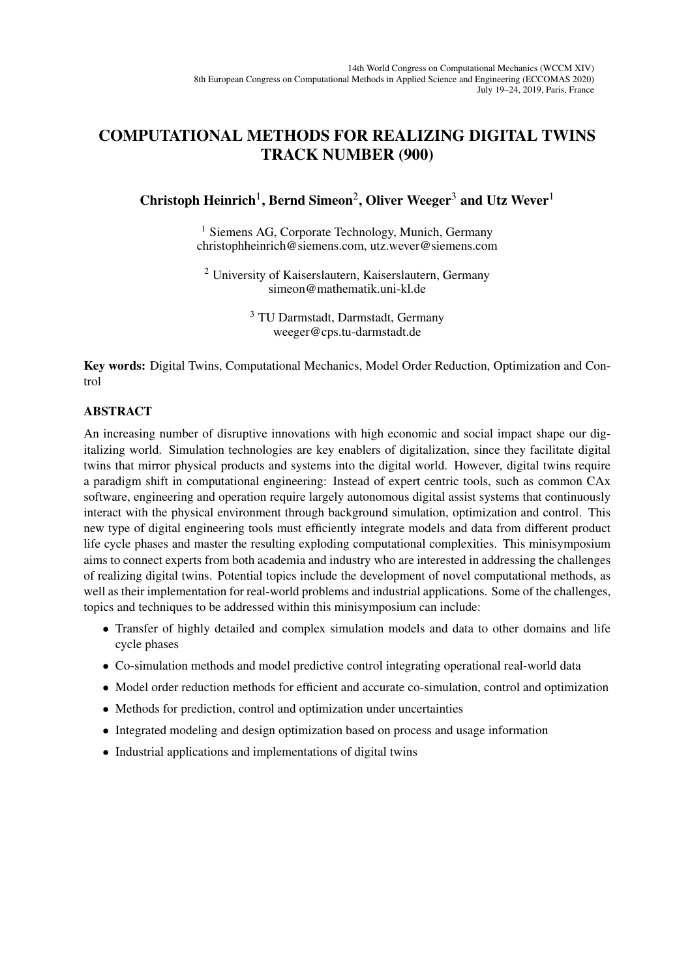## COMPUTATIONAL METHODS FOR REALIZING DIGITAL TWINS TRACK NUMBER (900)

## Christoph Heinrich<sup>1</sup>, Bernd Simeon<sup>2</sup>, Oliver Weeger<sup>3</sup> and Utz Wever<sup>1</sup>

<sup>1</sup> Siemens AG, Corporate Technology, Munich, Germany christophheinrich@siemens.com, utz.wever@siemens.com

<sup>2</sup> University of Kaiserslautern, Kaiserslautern, Germany simeon@mathematik.uni-kl.de

> <sup>3</sup> TU Darmstadt, Darmstadt, Germany weeger@cps.tu-darmstadt.de

Key words: Digital Twins, Computational Mechanics, Model Order Reduction, Optimization and Control

## ABSTRACT

An increasing number of disruptive innovations with high economic and social impact shape our digitalizing world. Simulation technologies are key enablers of digitalization, since they facilitate digital twins that mirror physical products and systems into the digital world. However, digital twins require a paradigm shift in computational engineering: Instead of expert centric tools, such as common CAx software, engineering and operation require largely autonomous digital assist systems that continuously interact with the physical environment through background simulation, optimization and control. This new type of digital engineering tools must efficiently integrate models and data from different product life cycle phases and master the resulting exploding computational complexities. This minisymposium aims to connect experts from both academia and industry who are interested in addressing the challenges of realizing digital twins. Potential topics include the development of novel computational methods, as well as their implementation for real-world problems and industrial applications. Some of the challenges, topics and techniques to be addressed within this minisymposium can include:

- Transfer of highly detailed and complex simulation models and data to other domains and life cycle phases
- Co-simulation methods and model predictive control integrating operational real-world data
- Model order reduction methods for efficient and accurate co-simulation, control and optimization
- Methods for prediction, control and optimization under uncertainties
- Integrated modeling and design optimization based on process and usage information
- Industrial applications and implementations of digital twins